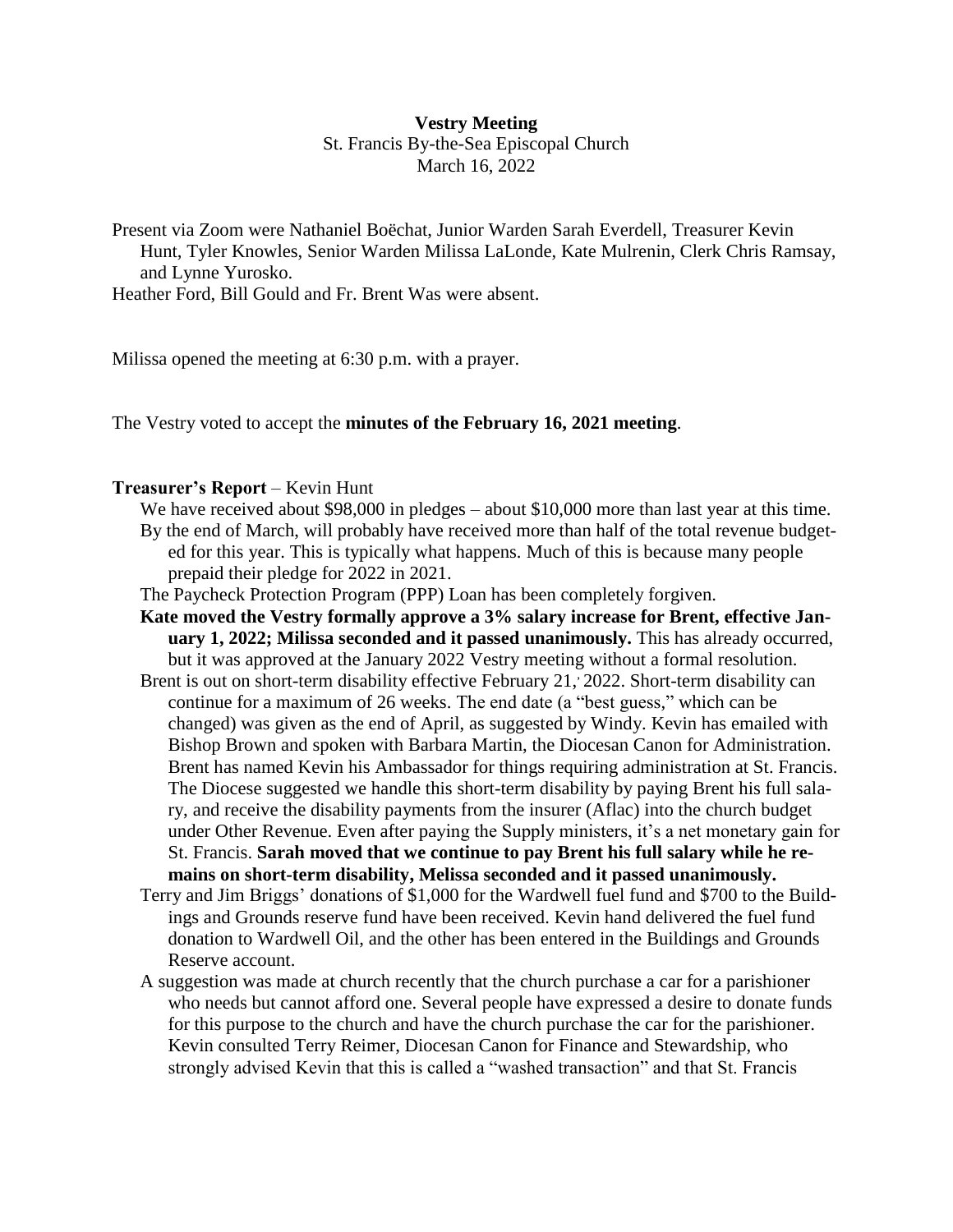#### **Vestry Meeting**

St. Francis By-the-Sea Episcopal Church March 16, 2022

Present via Zoom were Nathaniel Boëchat, Junior Warden Sarah Everdell, Treasurer Kevin Hunt, Tyler Knowles, Senior Warden Milissa LaLonde, Kate Mulrenin, Clerk Chris Ramsay, and Lynne Yurosko.

Heather Ford, Bill Gould and Fr. Brent Was were absent.

Milissa opened the meeting at 6:30 p.m. with a prayer.

The Vestry voted to accept the **minutes of the February 16, 2021 meeting**.

### **Treasurer's Report** – Kevin Hunt

- We have received about \$98,000 in pledges about \$10,000 more than last year at this time. By the end of March, will probably have received more than half of the total revenue budgeted for this year. This is typically what happens. Much of this is because many people prepaid their pledge for 2022 in 2021.
- The Paycheck Protection Program (PPP) Loan has been completely forgiven.
- **Kate moved the Vestry formally approve a 3% salary increase for Brent, effective January 1, 2022; Milissa seconded and it passed unanimously.** This has already occurred, but it was approved at the January 2022 Vestry meeting without a formal resolution.
- Brent is out on short-term disability effective February 21, 2022. Short-term disability can continue for a maximum of 26 weeks. The end date (a "best guess," which can be changed) was given as the end of April, as suggested by Windy. Kevin has emailed with Bishop Brown and spoken with Barbara Martin, the Diocesan Canon for Administration. Brent has named Kevin his Ambassador for things requiring administration at St. Francis. The Diocese suggested we handle this short-term disability by paying Brent his full salary, and receive the disability payments from the insurer (Aflac) into the church budget under Other Revenue. Even after paying the Supply ministers, it's a net monetary gain for St. Francis. **Sarah moved that we continue to pay Brent his full salary while he remains on short-term disability, Melissa seconded and it passed unanimously.**
- Terry and Jim Briggs' donations of \$1,000 for the Wardwell fuel fund and \$700 to the Buildings and Grounds reserve fund have been received. Kevin hand delivered the fuel fund donation to Wardwell Oil, and the other has been entered in the Buildings and Grounds Reserve account.
- A suggestion was made at church recently that the church purchase a car for a parishioner who needs but cannot afford one. Several people have expressed a desire to donate funds for this purpose to the church and have the church purchase the car for the parishioner. Kevin consulted Terry Reimer, Diocesan Canon for Finance and Stewardship, who strongly advised Kevin that this is called a "washed transaction" and that St. Francis